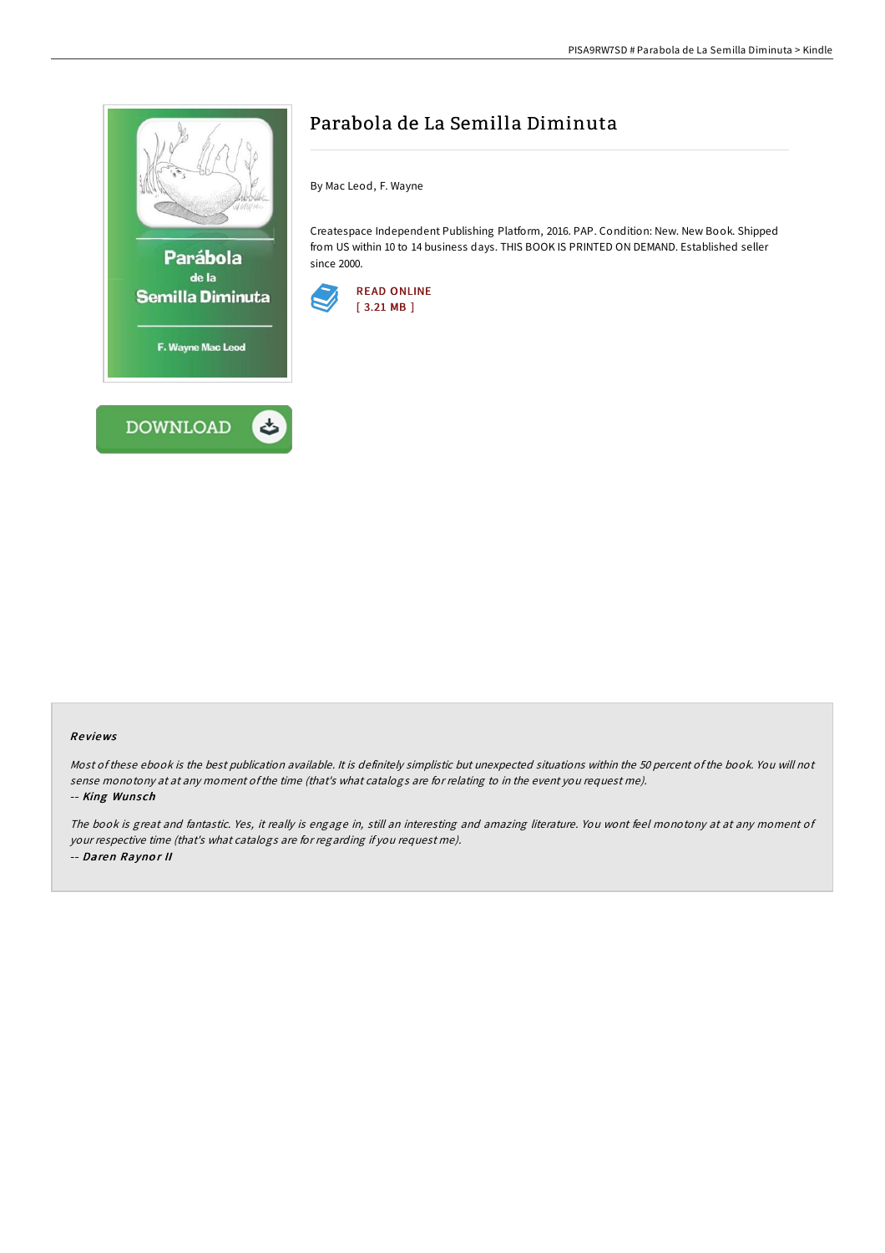



# Parabola de La Semilla Diminuta

By Mac Leod, F. Wayne

Createspace Independent Publishing Platform, 2016. PAP. Condition: New. New Book. Shipped from US within 10 to 14 business days. THIS BOOK IS PRINTED ON DEMAND. Established seller since 2000.



#### Re views

Most of these ebook is the best publication available. It is definitely simplistic but unexpected situations within the 50 percent of the book. You will not sense monotony at at any moment ofthe time (that's what catalogs are for relating to in the event you request me). -- King Wunsch

The book is great and fantastic. Yes, it really is engage in, still an interesting and amazing literature. You wont feel monotony at at any moment of your respective time (that's what catalogs are for regarding if you request me). -- Daren Raynor II